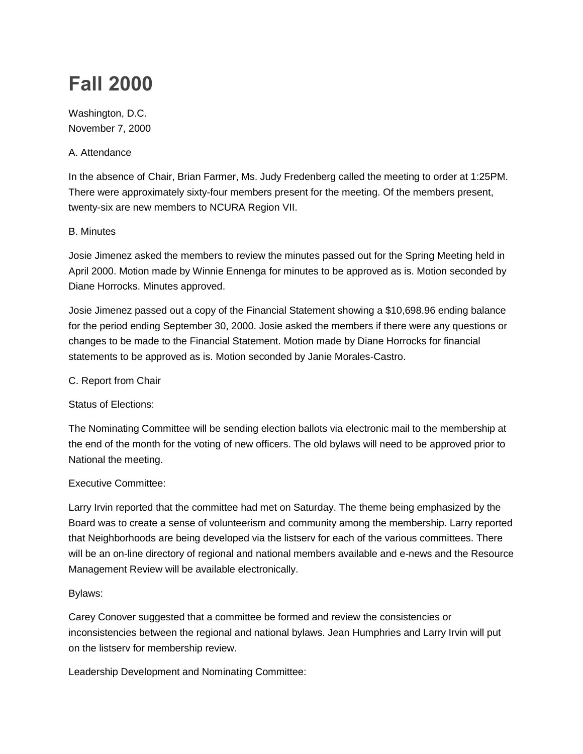# **Fall 2000**

Washington, D.C. November 7, 2000

### A. Attendance

In the absence of Chair, Brian Farmer, Ms. Judy Fredenberg called the meeting to order at 1:25PM. There were approximately sixty-four members present for the meeting. Of the members present, twenty-six are new members to NCURA Region VII.

### B. Minutes

Josie Jimenez asked the members to review the minutes passed out for the Spring Meeting held in April 2000. Motion made by Winnie Ennenga for minutes to be approved as is. Motion seconded by Diane Horrocks. Minutes approved.

Josie Jimenez passed out a copy of the Financial Statement showing a \$10,698.96 ending balance for the period ending September 30, 2000. Josie asked the members if there were any questions or changes to be made to the Financial Statement. Motion made by Diane Horrocks for financial statements to be approved as is. Motion seconded by Janie Morales-Castro.

## C. Report from Chair

Status of Elections:

The Nominating Committee will be sending election ballots via electronic mail to the membership at the end of the month for the voting of new officers. The old bylaws will need to be approved prior to National the meeting.

# Executive Committee:

Larry Irvin reported that the committee had met on Saturday. The theme being emphasized by the Board was to create a sense of volunteerism and community among the membership. Larry reported that Neighborhoods are being developed via the listserv for each of the various committees. There will be an on-line directory of regional and national members available and e-news and the Resource Management Review will be available electronically.

# Bylaws:

Carey Conover suggested that a committee be formed and review the consistencies or inconsistencies between the regional and national bylaws. Jean Humphries and Larry Irvin will put on the listserv for membership review.

Leadership Development and Nominating Committee: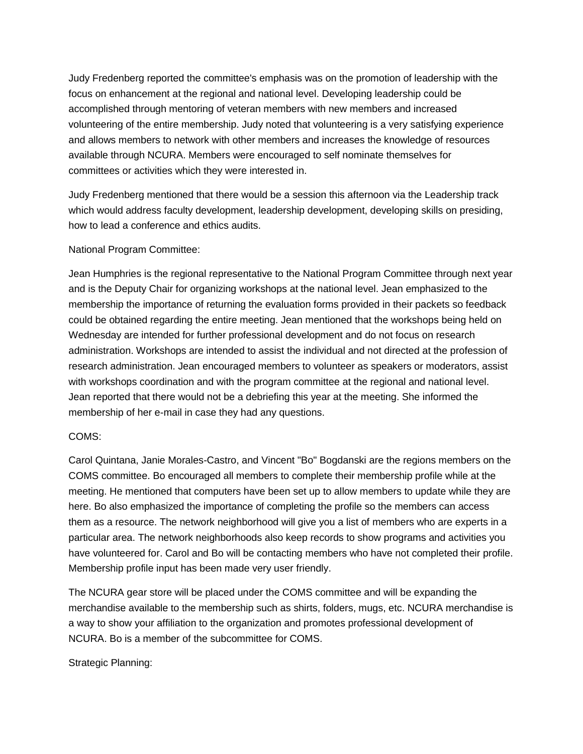Judy Fredenberg reported the committee's emphasis was on the promotion of leadership with the focus on enhancement at the regional and national level. Developing leadership could be accomplished through mentoring of veteran members with new members and increased volunteering of the entire membership. Judy noted that volunteering is a very satisfying experience and allows members to network with other members and increases the knowledge of resources available through NCURA. Members were encouraged to self nominate themselves for committees or activities which they were interested in.

Judy Fredenberg mentioned that there would be a session this afternoon via the Leadership track which would address faculty development, leadership development, developing skills on presiding, how to lead a conference and ethics audits.

#### National Program Committee:

Jean Humphries is the regional representative to the National Program Committee through next year and is the Deputy Chair for organizing workshops at the national level. Jean emphasized to the membership the importance of returning the evaluation forms provided in their packets so feedback could be obtained regarding the entire meeting. Jean mentioned that the workshops being held on Wednesday are intended for further professional development and do not focus on research administration. Workshops are intended to assist the individual and not directed at the profession of research administration. Jean encouraged members to volunteer as speakers or moderators, assist with workshops coordination and with the program committee at the regional and national level. Jean reported that there would not be a debriefing this year at the meeting. She informed the membership of her e-mail in case they had any questions.

#### COMS:

Carol Quintana, Janie Morales-Castro, and Vincent "Bo" Bogdanski are the regions members on the COMS committee. Bo encouraged all members to complete their membership profile while at the meeting. He mentioned that computers have been set up to allow members to update while they are here. Bo also emphasized the importance of completing the profile so the members can access them as a resource. The network neighborhood will give you a list of members who are experts in a particular area. The network neighborhoods also keep records to show programs and activities you have volunteered for. Carol and Bo will be contacting members who have not completed their profile. Membership profile input has been made very user friendly.

The NCURA gear store will be placed under the COMS committee and will be expanding the merchandise available to the membership such as shirts, folders, mugs, etc. NCURA merchandise is a way to show your affiliation to the organization and promotes professional development of NCURA. Bo is a member of the subcommittee for COMS.

Strategic Planning: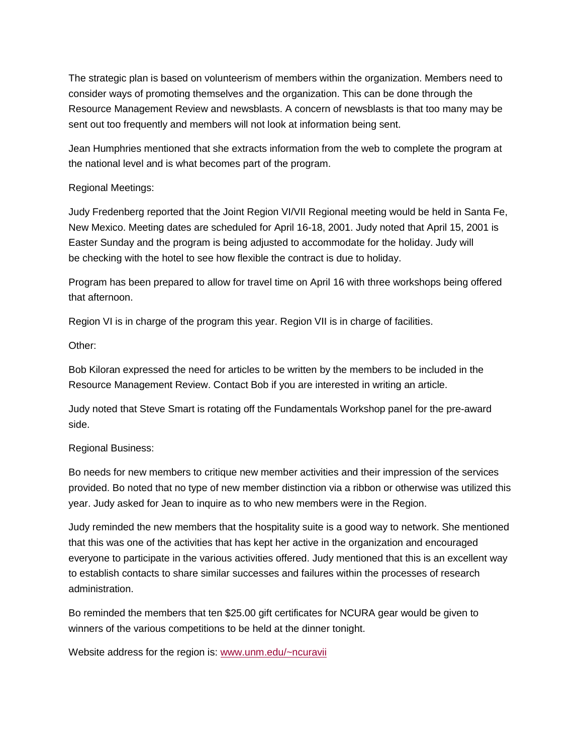The strategic plan is based on volunteerism of members within the organization. Members need to consider ways of promoting themselves and the organization. This can be done through the Resource Management Review and newsblasts. A concern of newsblasts is that too many may be sent out too frequently and members will not look at information being sent.

Jean Humphries mentioned that she extracts information from the web to complete the program at the national level and is what becomes part of the program.

#### Regional Meetings:

Judy Fredenberg reported that the Joint Region VI/VII Regional meeting would be held in Santa Fe, New Mexico. Meeting dates are scheduled for April 16-18, 2001. Judy noted that April 15, 2001 is Easter Sunday and the program is being adjusted to accommodate for the holiday. Judy will be checking with the hotel to see how flexible the contract is due to holiday.

Program has been prepared to allow for travel time on April 16 with three workshops being offered that afternoon.

Region VI is in charge of the program this year. Region VII is in charge of facilities.

Other:

Bob Kiloran expressed the need for articles to be written by the members to be included in the Resource Management Review. Contact Bob if you are interested in writing an article.

Judy noted that Steve Smart is rotating off the Fundamentals Workshop panel for the pre-award side.

# Regional Business:

Bo needs for new members to critique new member activities and their impression of the services provided. Bo noted that no type of new member distinction via a ribbon or otherwise was utilized this year. Judy asked for Jean to inquire as to who new members were in the Region.

Judy reminded the new members that the hospitality suite is a good way to network. She mentioned that this was one of the activities that has kept her active in the organization and encouraged everyone to participate in the various activities offered. Judy mentioned that this is an excellent way to establish contacts to share similar successes and failures within the processes of research administration.

Bo reminded the members that ten \$25.00 gift certificates for NCURA gear would be given to winners of the various competitions to be held at the dinner tonight.

Website address for the region is: [www.unm.edu/~ncuravii](http://ncuraregionvii.unm.edu/)